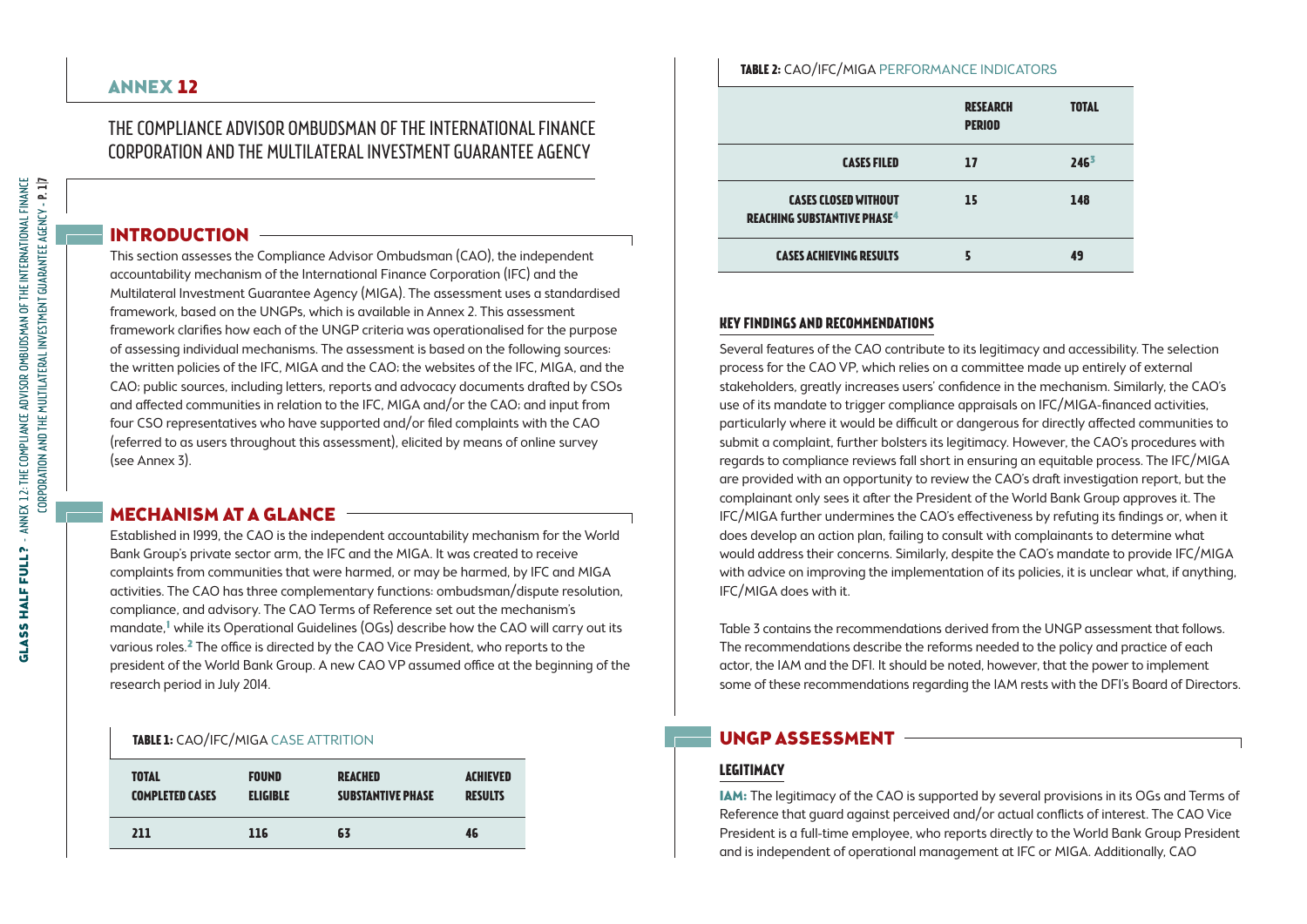## The Compliance Advisor Ombudsman of the International Finance Corporation and the Multilateral Investment Guarantee Agency

## INTRODUCTION

This section assesses the Compliance Advisor Ombudsman (CAO), the independent accountability mechanism of the International Finance Corporation (IFC) and the Multilateral Investment Guarantee Agency (MIGA). The assessment uses a standardised framework, based on the UNGPs, which is available in Annex 2. This assessment framework clarifies how each of the UNGP criteria was operationalised for the purpose of assessing individual mechanisms. The assessment is based on the following sources: the written policies of the IFC, MIGA and the CAO; the websites of the IFC, MIGA, and the CAO; public sources, including letters, reports and advocacy documents drafted by CSOs and affected communities in relation to the IFC, MIGA and/or the CAO; and input from four CSO representatives who have supported and/or filed complaints with the CAO (referred to as users throughout this assessment), elicited by means of online survey (see Annex 3).

## MECHANISM AT A GLANCE  $\overline{\phantom{mm}}$

Established in 1999, the CAO is the independent accountability mechanism for the World Bank Group's private sector arm, the IFC and the MIGA. It was created to receive complaints from communities that were harmed, or may be harmed, by IFC and MIGA activities. The CAO has three complementary functions: ombudsman/dispute resolution, compliance, and advisory. The CAO Terms of Reference set out the mechanism's mandate,<sup>1</sup> while its Operational Guidelines (OGs) describe how the CAO will carry out its various roles.2 The office is directed by the CAO Vice President, who reports to the president of the World Bank Group. A new CAO VP assumed office at the beginning of the research period in July 2014.

#### **TABLE 1:** CAO/IFC/MIGA CASE ATTRITION

| <b>TOTAL</b>           | <b>FOUND</b>    | <b>REACHED</b>           | <b>ACHIEVED</b> |
|------------------------|-----------------|--------------------------|-----------------|
| <b>COMPLETED CASES</b> | <b>ELIGIBLE</b> | <b>SUBSTANTIVE PHASE</b> | <b>RESULTS</b>  |
| 211                    | 116             | 63                       | 46              |

| <b>INVESTIGATION</b> CONTINUES INTO THE REPORT OF STRING |              |
|----------------------------------------------------------|--------------|
| <b>RESEARCH</b>                                          | <b>TOTAL</b> |

**Table 2:** CAO/IFC/MIGA Performance indicators

| 246 <sup>3</sup><br><b>CASES FILED</b><br>17                                              |  |
|-------------------------------------------------------------------------------------------|--|
| <b>CASES CLOSED WITHOUT</b><br>15<br>148<br><b>REACHING SUBSTANTIVE PHASE<sup>4</sup></b> |  |
| <b>CASES ACHIEVING RESULTS</b><br>49                                                      |  |

# **Key findings and recommendations**

Several features of the CAO contribute to its legitimacy and accessibility. The selection process for the CAO VP, which relies on a committee made up entirely of external stakeholders, greatly increases users' confidence in the mechanism. Similarly, the CAO's use of its mandate to trigger compliance appraisals on IFC/MIGA-financed activities, particularly where it would be difficult or dangerous for directly affected communities to submit a complaint, further bolsters its legitimacy. However, the CAO's procedures with regards to compliance reviews fall short in ensuring an equitable process. The IFC/MIGA are provided with an opportunity to review the CAO's draft investigation report, but the complainant only sees it after the President of the World Bank Group approves it. The IFC/MIGA further undermines the CAO's effectiveness by refuting its findings or, when it does develop an action plan, failing to consult with complainants to determine what would address their concerns. Similarly, despite the CAO's mandate to provide IFC/MIGA with advice on improving the implementation of its policies, it is unclear what, if anything, IFC/MIGA does with it.

Table 3 contains the recommendations derived from the UNGP assessment that follows. The recommendations describe the reforms needed to the policy and practice of each actor, the IAM and the DFI. It should be noted, however, that the power to implement some of these recommendations regarding the IAM rests with the DFI's Board of Directors.

# UNGP ASSESSMENT

# **Legitimacy**

IAM: The legitimacy of the CAO is supported by several provisions in its OGs and Terms of Reference that guard against perceived and/or actual conflicts of interest. The CAO Vice President is a full-time employee, who reports directly to the World Bank Group President and is independent of operational management at IFC or MIGA. Additionally, CAO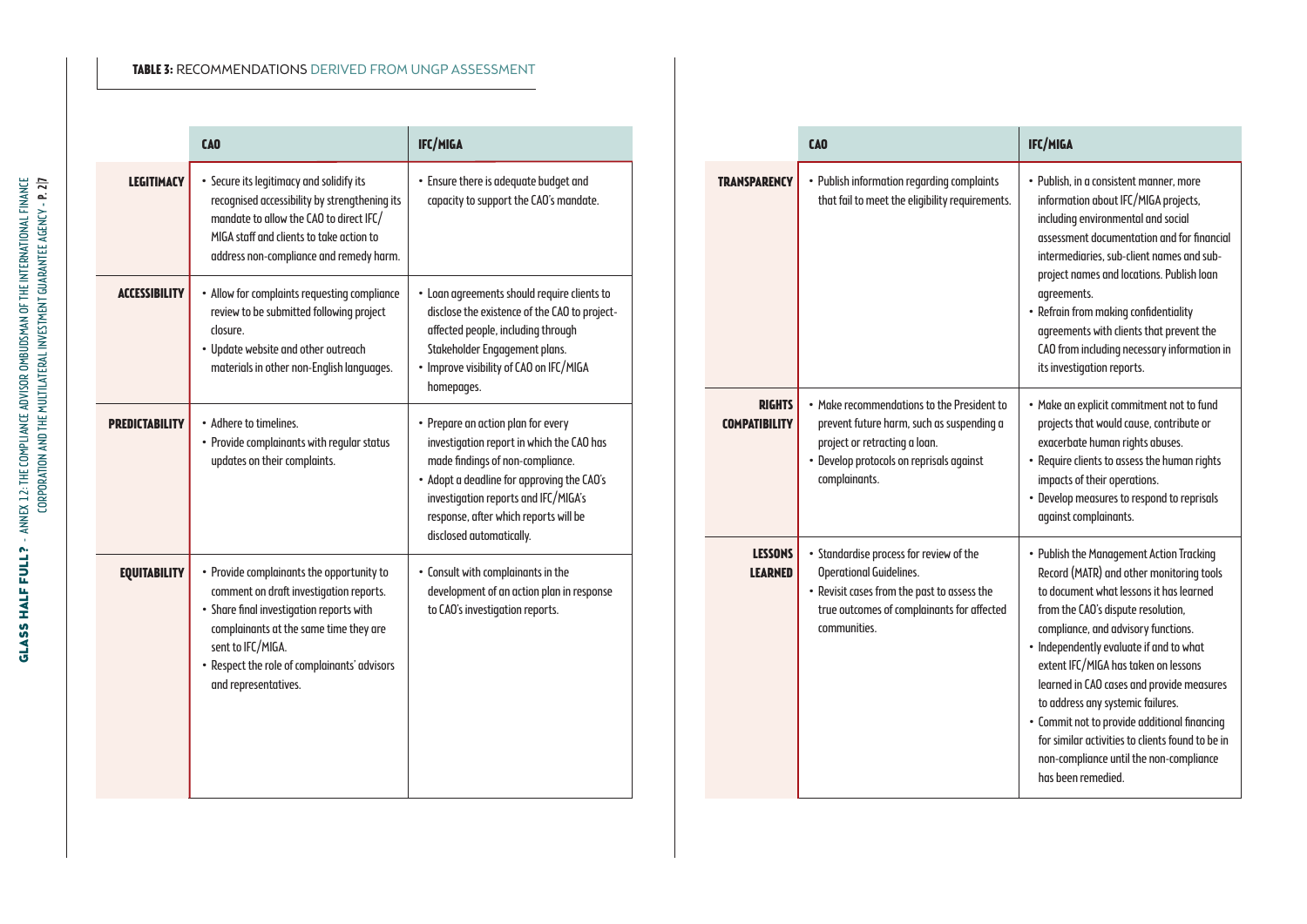#### **Table 3:** Recommendations derived from UNGP assessment

|                       | <b>CAO</b>                                                                                                                                                                                                                                                              | IFC/MIGA                                                                                                                                                                                                                                                                       |
|-----------------------|-------------------------------------------------------------------------------------------------------------------------------------------------------------------------------------------------------------------------------------------------------------------------|--------------------------------------------------------------------------------------------------------------------------------------------------------------------------------------------------------------------------------------------------------------------------------|
| <b>LEGITIMACY</b>     | • Secure its legitimacy and solidify its<br>recognised accessibility by strengthening its<br>mandate to allow the CAO to direct IFC/<br>MIGA staff and clients to take action to<br>address non-compliance and remedy harm.                                             | • Ensure there is adequate budget and<br>capacity to support the CAO's mandate.                                                                                                                                                                                                |
| <b>ACCESSIBILITY</b>  | • Allow for complaints requesting compliance<br>review to be submitted following project<br>closure.<br>• Update website and other outreach<br>materials in other non-English languages.                                                                                | • Loan agreements should require clients to<br>disclose the existence of the CAO to project-<br>affected people, including through<br>Stakeholder Engagement plans.<br>• Improve visibility of CAO on IFC/MIGA<br>homepages.                                                   |
| <b>PREDICTABILITY</b> | • Adhere to timelines.<br>• Provide complainants with regular status<br>updates on their complaints.                                                                                                                                                                    | • Prepare an action plan for every<br>investigation report in which the CAO has<br>made findings of non-compliance.<br>• Adopt a deadline for approving the CAO's<br>investigation reports and IFC/MIGA's<br>response, after which reports will be<br>disclosed automatically. |
| <b>EQUITABILITY</b>   | • Provide complainants the opportunity to<br>comment on draft investigation reports.<br>· Share final investigation reports with<br>complainants at the same time they are<br>sent to IFC/MIGA.<br>• Respect the role of complainants' advisors<br>and representatives. | • Consult with complainants in the<br>development of an action plan in response<br>to CAO's investigation reports.                                                                                                                                                             |

|                                       | <b>CAO</b>                                                                                                                                                                             | <b>IFC/MIGA</b>                                                                                                                                                                                                                                                                                                                                                                                                                                                                                                                                        |
|---------------------------------------|----------------------------------------------------------------------------------------------------------------------------------------------------------------------------------------|--------------------------------------------------------------------------------------------------------------------------------------------------------------------------------------------------------------------------------------------------------------------------------------------------------------------------------------------------------------------------------------------------------------------------------------------------------------------------------------------------------------------------------------------------------|
| <b>TRANSPARENCY</b>                   | • Publish information regarding complaints<br>that fail to meet the eligibility requirements.                                                                                          | • Publish, in a consistent manner, more<br>information about IFC/MIGA projects,<br>including environmental and social<br>assessment documentation and for financial<br>intermediaries, sub-client names and sub-<br>project names and locations. Publish loan<br>agreements.<br>• Refrain from making confidentiality<br>agreements with clients that prevent the<br>CAO from including necessary information in<br>its investigation reports.                                                                                                         |
| <b>RIGHTS</b><br><b>COMPATIBILITY</b> | . Make recommendations to the President to<br>prevent future harm, such as suspending a<br>project or retracting a loan.<br>• Develop protocols on reprisals against<br>complainants.  | • Make an explicit commitment not to fund<br>projects that would cause, contribute or<br>exacerbate human rights abuses.<br>• Require clients to assess the human rights<br>impacts of their operations.<br>• Develop measures to respond to reprisals<br>against complainants.                                                                                                                                                                                                                                                                        |
| <b>LESSONS</b><br><b>LEARNED</b>      | • Standardise process for review of the<br><b>Operational Guidelines.</b><br>• Revisit cases from the past to assess the<br>true outcomes of complainants for affected<br>communities. | • Publish the Management Action Tracking<br>Record (MATR) and other monitoring tools<br>to document what lessons it has learned<br>from the CAO's dispute resolution,<br>compliance, and advisory functions.<br>• Independently evaluate if and to what<br>extent IFC/MIGA has taken on lessons<br>learned in CAO cases and provide measures<br>to address any systemic failures.<br>· Commit not to provide additional financing<br>for similar activities to clients found to be in<br>non-compliance until the non-compliance<br>has been remedied. |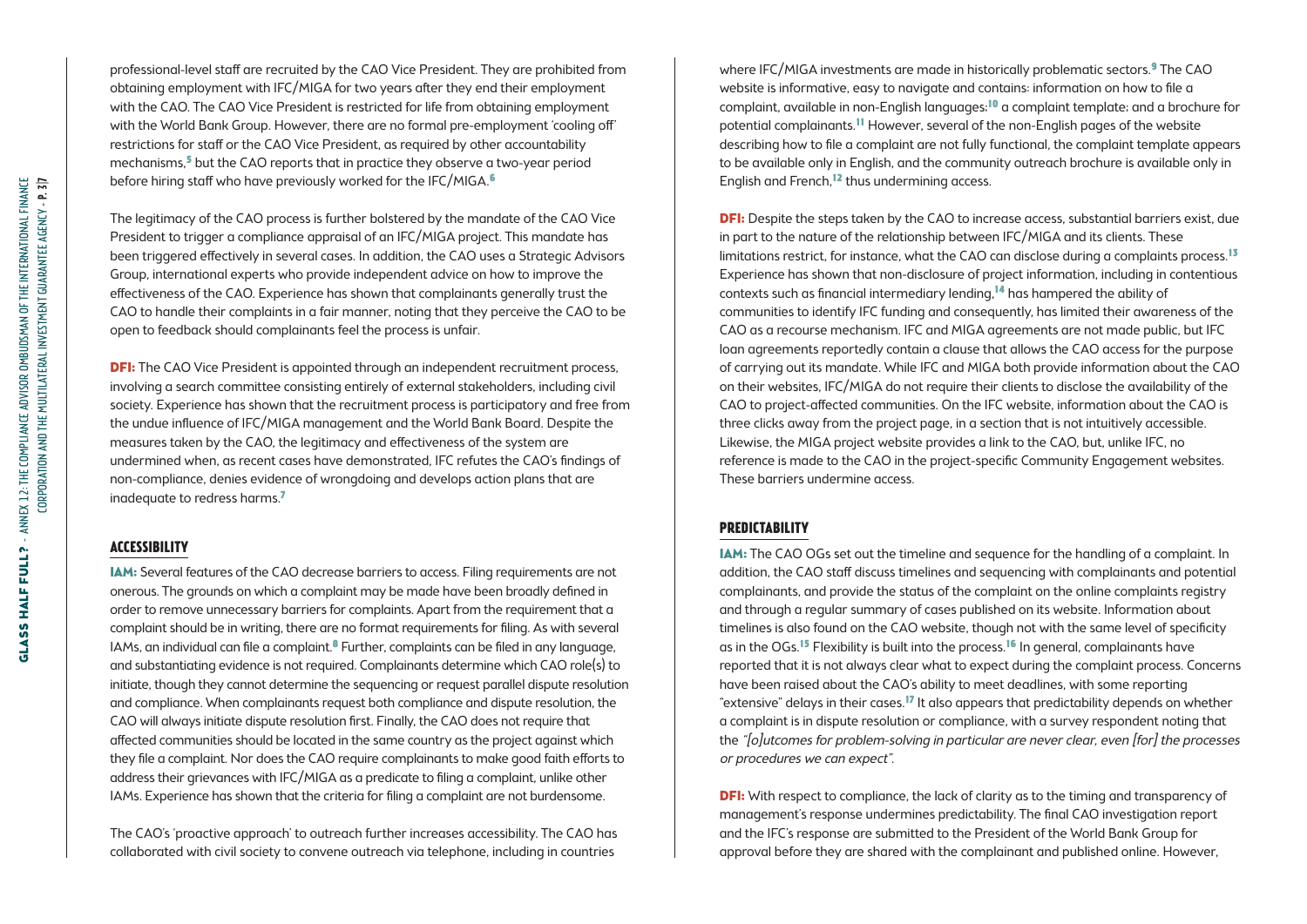professional-level staff are recruited by the CAO Vice President. They are prohibited from obtaining employment with IFC/MIGA for two years after they end their employment with the CAO. The CAO Vice President is restricted for life from obtaining employment with the World Bank Group. However, there are no formal pre-employment 'cooling off' restrictions for staff or the CAO Vice President, as required by other accountability mechanisms,5 but the CAO reports that in practice they observe a two-year period before hiring staff who have previously worked for the IFC/MIGA.<sup>6</sup>

The legitimacy of the CAO process is further bolstered by the mandate of the CAO Vice President to trigger a compliance appraisal of an IFC/MIGA project. This mandate has been triggered effectively in several cases. In addition, the CAO uses a Strategic Advisors Group, international experts who provide independent advice on how to improve the effectiveness of the CAO. Experience has shown that complainants generally trust the CAO to handle their complaints in a fair manner, noting that they perceive the CAO to be open to feedback should complainants feel the process is unfair.

**DFI:** The CAO Vice President is appointed through an independent recruitment process, involving a search committee consisting entirely of external stakeholders, including civil society. Experience has shown that the recruitment process is participatory and free from the undue influence of IFC/MIGA management and the World Bank Board. Despite the measures taken by the CAO, the legitimacy and effectiveness of the system are undermined when, as recent cases have demonstrated, IFC refutes the CAO's findings of non-compliance, denies evidence of wrongdoing and develops action plans that are inadequate to redress harms.7

#### **Accessibility**

IAM: Several features of the CAO decrease barriers to access. Filing requirements are not onerous. The grounds on which a complaint may be made have been broadly defined in order to remove unnecessary barriers for complaints. Apart from the requirement that a complaint should be in writing, there are no format requirements for filing. As with several IAMs, an individual can file a complaint.<sup>8</sup> Further, complaints can be filed in any language, and substantiating evidence is not required. Complainants determine which CAO role(s) to initiate, though they cannot determine the sequencing or request parallel dispute resolution and compliance. When complainants request both compliance and dispute resolution, the CAO will always initiate dispute resolution first. Finally, the CAO does not require that affected communities should be located in the same country as the project against which they file a complaint. Nor does the CAO require complainants to make good faith efforts to address their grievances with IFC/MIGA as a predicate to filing a complaint, unlike other IAMs. Experience has shown that the criteria for filing a complaint are not burdensome.

The CAO's 'proactive approach' to outreach further increases accessibility. The CAO has collaborated with civil society to convene outreach via telephone, including in countries

where IFC/MIGA investments are made in historically problematic sectors.<sup>9</sup> The CAO website is informative, easy to navigate and contains: information on how to file a complaint, available in non-English languages;10 a complaint template; and a brochure for potential complainants.11 However, several of the non-English pages of the website describing how to file a complaint are not fully functional, the complaint template appears to be available only in English, and the community outreach brochure is available only in English and French,<sup>12</sup> thus undermining access.

**DFI:** Despite the steps taken by the CAO to increase access, substantial barriers exist, due in part to the nature of the relationship between IFC/MIGA and its clients. These limitations restrict, for instance, what the CAO can disclose during a complaints process.<sup>13</sup> Experience has shown that non-disclosure of project information, including in contentious contexts such as financial intermediary lending,14 has hampered the ability of communities to identify IFC funding and consequently, has limited their awareness of the CAO as a recourse mechanism. IFC and MIGA agreements are not made public, but IFC loan agreements reportedly contain a clause that allows the CAO access for the purpose of carrying out its mandate. While IFC and MIGA both provide information about the CAO on their websites, IFC/MIGA do not require their clients to disclose the availability of the CAO to project-affected communities. On the IFC website, information about the CAO is three clicks away from the project page, in a section that is not intuitively accessible. Likewise, the MIGA project website provides a link to the CAO, but, unlike IFC, no reference is made to the CAO in the project-specific Community Engagement websites. These barriers undermine access.

#### **Predictability**

IAM: The CAO OGs set out the timeline and sequence for the handling of a complaint. In addition, the CAO staff discuss timelines and sequencing with complainants and potential complainants, and provide the status of the complaint on the online complaints registry and through a regular summary of cases published on its website. Information about timelines is also found on the CAO website, though not with the same level of specificity as in the OGs.<sup>15</sup> Flexibility is built into the process.<sup>16</sup> In general, complainants have reported that it is not always clear what to expect during the complaint process. Concerns have been raised about the CAO's ability to meet deadlines, with some reporting "extensive" delays in their cases.<sup>17</sup> It also appears that predictability depends on whether a complaint is in dispute resolution or compliance, with a survey respondent noting that the "[o]utcomes for problem-solving in particular are never clear, even [for] the processes or procedures we can expect".

**DFI:** With respect to compliance, the lack of clarity as to the timing and transparency of management's response undermines predictability. The final CAO investigation report and the IFC's response are submitted to the President of the World Bank Group for approval before they are shared with the complainant and published online. However,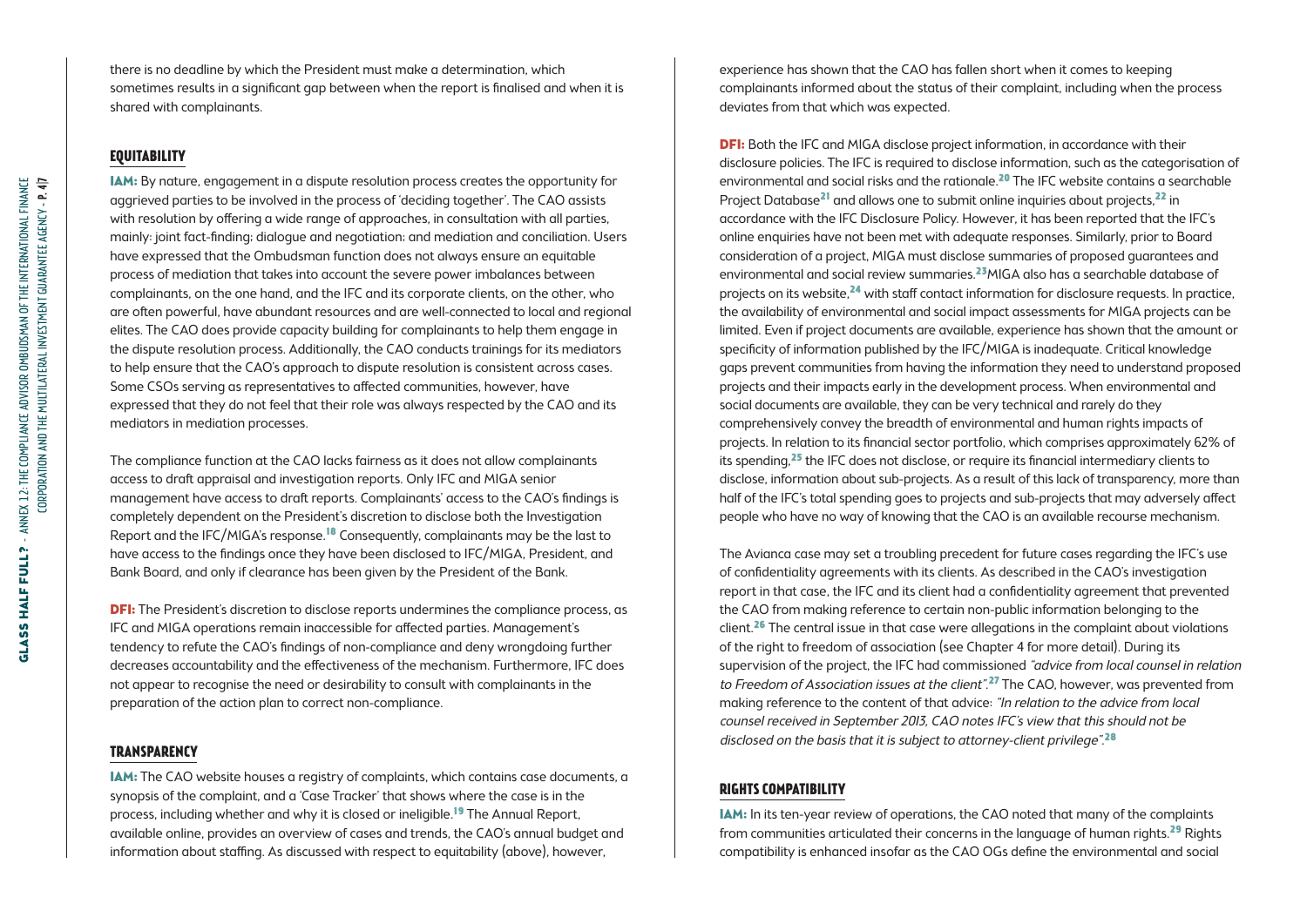there is no deadline by which the President must make a determination, which sometimes results in a significant gap between when the report is finalised and when it is shared with complainants.

#### **Equitability**

IAM: By nature, engagement in a dispute resolution process creates the opportunity for aggrieved parties to be involved in the process of 'deciding together'. The CAO assists with resolution by offering a wide range of approaches, in consultation with all parties, mainly: joint fact-finding; dialogue and negotiation; and mediation and conciliation. Users have expressed that the Ombudsman function does not always ensure an equitable process of mediation that takes into account the severe power imbalances between complainants, on the one hand, and the IFC and its corporate clients, on the other, who are often powerful, have abundant resources and are well-connected to local and regional elites. The CAO does provide capacity building for complainants to help them engage in the dispute resolution process. Additionally, the CAO conducts trainings for its mediators to help ensure that the CAO's approach to dispute resolution is consistent across cases. Some CSOs serving as representatives to affected communities, however, have expressed that they do not feel that their role was always respected by the CAO and its mediators in mediation processes.

The compliance function at the CAO lacks fairness as it does not allow complainants access to draft appraisal and investigation reports. Only IFC and MIGA senior management have access to draft reports. Complainants' access to the CAO's findings is completely dependent on the President's discretion to disclose both the Investigation Report and the IFC/MIGA's response.18 Consequently, complainants may be the last to have access to the findings once they have been disclosed to IFC/MIGA, President, and Bank Board, and only if clearance has been given by the President of the Bank.

**DFI:** The President's discretion to disclose reports undermines the compliance process, as IFC and MIGA operations remain inaccessible for affected parties. Management's tendency to refute the CAO's findings of non-compliance and deny wrongdoing further decreases accountability and the effectiveness of the mechanism. Furthermore, IFC does not appear to recognise the need or desirability to consult with complainants in the preparation of the action plan to correct non-compliance.

#### **Transparency**

IAM: The CAO website houses a registry of complaints, which contains case documents, a synopsis of the complaint, and a 'Case Tracker' that shows where the case is in the process, including whether and why it is closed or ineligible.<sup>19</sup> The Annual Report, available online, provides an overview of cases and trends, the CAO's annual budget and information about staffing. As discussed with respect to equitability (above), however,

experience has shown that the CAO has fallen short when it comes to keeping complainants informed about the status of their complaint, including when the process deviates from that which was expected.

**DFI:** Both the IFC and MIGA disclose project information, in accordance with their disclosure policies. The IFC is required to disclose information, such as the categorisation of environmental and social risks and the rationale.20 The IFC website contains a searchable Project Database<sup>21</sup> and allows one to submit online inquiries about projects,<sup>22</sup> in accordance with the IFC Disclosure Policy. However, it has been reported that the IFC's online enquiries have not been met with adequate responses. Similarly, prior to Board consideration of a project, MIGA must disclose summaries of proposed guarantees and environmental and social review summaries.<sup>23</sup>MIGA also has a searchable database of projects on its website,24 with staff contact information for disclosure requests. In practice, the availability of environmental and social impact assessments for MIGA projects can be limited. Even if project documents are available, experience has shown that the amount or specificity of information published by the IFC/MIGA is inadequate. Critical knowledge gaps prevent communities from having the information they need to understand proposed projects and their impacts early in the development process. When environmental and social documents are available, they can be very technical and rarely do they comprehensively convey the breadth of environmental and human rights impacts of projects. In relation to its financial sector portfolio, which comprises approximately 62% of its spending,<sup>25</sup> the IFC does not disclose, or require its financial intermediary clients to disclose, information about sub-projects. As a result of this lack of transparency, more than half of the IFC's total spending goes to projects and sub-projects that may adversely affect people who have no way of knowing that the CAO is an available recourse mechanism.

The Avianca case may set a troubling precedent for future cases regarding the IFC's use of confidentiality agreements with its clients. As described in the CAO's investigation report in that case, the IFC and its client had a confidentiality agreement that prevented the CAO from making reference to certain non-public information belonging to the client.<sup>26</sup> The central issue in that case were allegations in the complaint about violations of the right to freedom of association (see Chapter 4 for more detail). During its supervision of the project, the IFC had commissioned "advice from local counsel in relation to Freedom of Association issues at the client".<sup>27</sup> The CAO, however, was prevented from making reference to the content of that advice: "In relation to the advice from local counsel received in September 2013, CAO notes IFC's view that this should not be disclosed on the basis that it is subject to attorney-client privilege".<sup>28</sup>

### **Rights compatibility**

IAM: In its ten-year review of operations, the CAO noted that many of the complaints from communities articulated their concerns in the language of human rights.29 Rights compatibility is enhanced insofar as the CAO OGs define the environmental and social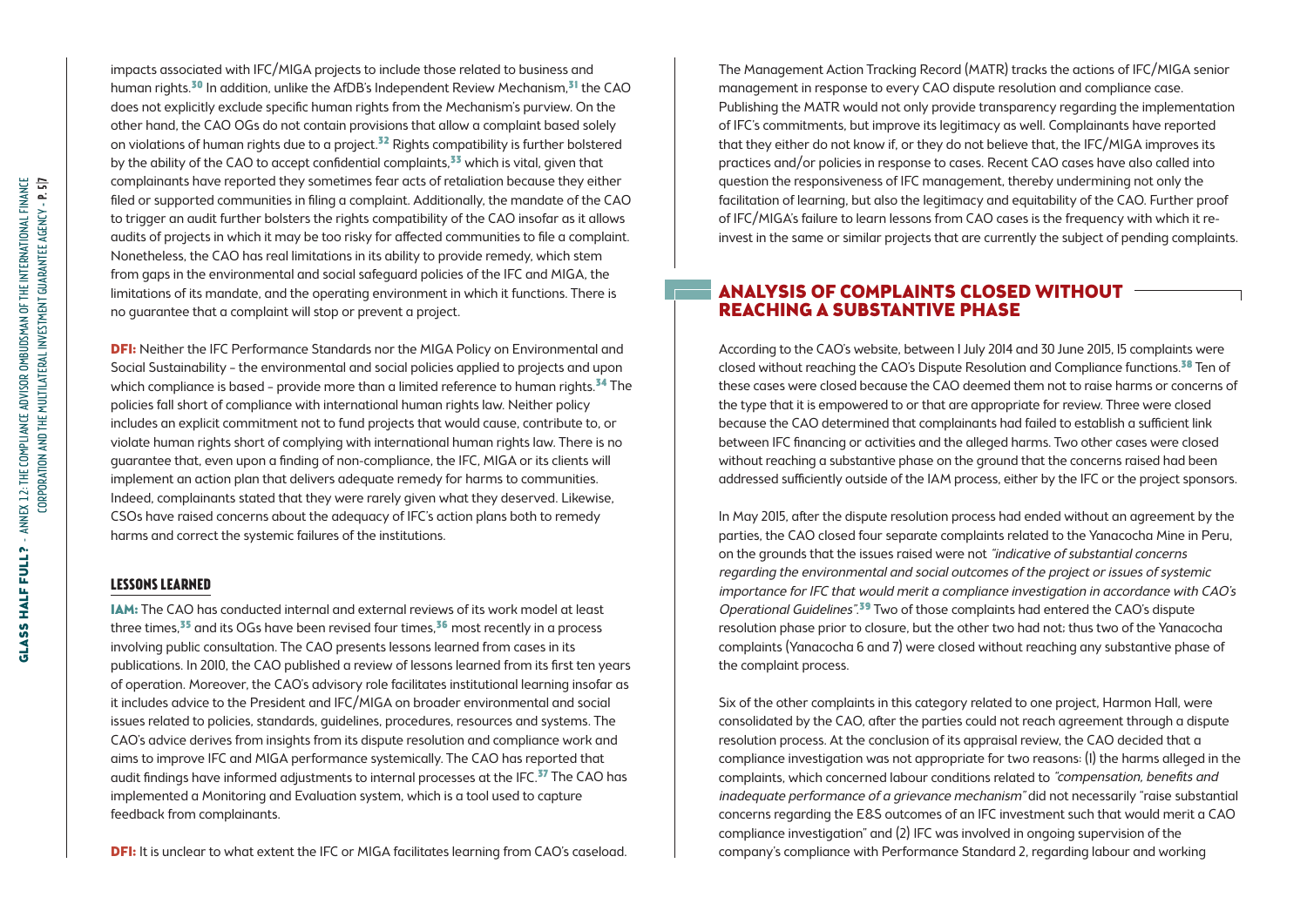impacts associated with IFC/MIGA projects to include those related to business and human rights.<sup>30</sup> In addition, unlike the AfDB's Independent Review Mechanism.<sup>31</sup> the CAO does not explicitly exclude specific human rights from the Mechanism's purview. On the other hand, the CAO OGs do not contain provisions that allow a complaint based solely on violations of human rights due to a project.<sup>32</sup> Rights compatibility is further bolstered by the ability of the CAO to accept confidential complaints, $33$  which is vital, given that complainants have reported they sometimes fear acts of retaliation because they either filed or supported communities in filing a complaint. Additionally, the mandate of the CAO to trigger an audit further bolsters the rights compatibility of the CAO insofar as it allows audits of projects in which it may be too risky for affected communities to file a complaint. Nonetheless, the CAO has real limitations in its ability to provide remedy, which stem from gaps in the environmental and social safeguard policies of the IFC and MIGA, the limitations of its mandate, and the operating environment in which it functions. There is no guarantee that a complaint will stop or prevent a project.

**DFI:** Neither the IFC Performance Standards nor the MIGA Policy on Environmental and Social Sustainability – the environmental and social policies applied to projects and upon which compliance is based - provide more than a limited reference to human rights.<sup>34</sup> The policies fall short of compliance with international human rights law. Neither policy includes an explicit commitment not to fund projects that would cause, contribute to, or violate human rights short of complying with international human rights law. There is no guarantee that, even upon a finding of non-compliance, the IFC, MIGA or its clients will implement an action plan that delivers adequate remedy for harms to communities. Indeed, complainants stated that they were rarely given what they deserved. Likewise, CSOs have raised concerns about the adequacy of IFC's action plans both to remedy harms and correct the systemic failures of the institutions.

#### **Lessons learned**

IAM: The CAO has conducted internal and external reviews of its work model at least three times, $35$  and its OGs have been revised four times, $36$  most recently in a process involving public consultation. The CAO presents lessons learned from cases in its publications. In 2010, the CAO published a review of lessons learned from its first ten years of operation. Moreover, the CAO's advisory role facilitates institutional learning insofar as it includes advice to the President and IFC/MIGA on broader environmental and social issues related to policies, standards, guidelines, procedures, resources and systems. The CAO's advice derives from insights from its dispute resolution and compliance work and aims to improve IFC and MIGA performance systemically. The CAO has reported that audit findings have informed adjustments to internal processes at the IFC. $^{37}$  The CAO has implemented a Monitoring and Evaluation system, which is a tool used to capture feedback from complainants.

**DFI:** It is unclear to what extent the IFC or MIGA facilitates learning from CAO's caseload.

The Management Action Tracking Record (MATR) tracks the actions of IFC/MIGA senior management in response to every CAO dispute resolution and compliance case. Publishing the MATR would not only provide transparency regarding the implementation of IFC's commitments, but improve its legitimacy as well. Complainants have reported that they either do not know if, or they do not believe that, the IFC/MIGA improves its practices and/or policies in response to cases. Recent CAO cases have also called into question the responsiveness of IFC management, thereby undermining not only the facilitation of learning, but also the legitimacy and equitability of the CAO. Further proof of IFC/MIGA's failure to learn lessons from CAO cases is the frequency with which it reinvest in the same or similar projects that are currently the subject of pending complaints.

## Analysis of Complaints Closed without Reaching a Substantive Phase

According to the CAO's website, between 1 July 2014 and 30 June 2015, 15 complaints were closed without reaching the CAO's Dispute Resolution and Compliance functions.<sup>38</sup> Ten of these cases were closed because the CAO deemed them not to raise harms or concerns of the type that it is empowered to or that are appropriate for review. Three were closed because the CAO determined that complainants had failed to establish a sufficient link between IFC financing or activities and the alleged harms. Two other cases were closed without reaching a substantive phase on the ground that the concerns raised had been addressed sufficiently outside of the IAM process, either by the IFC or the project sponsors.

In May 2015, after the dispute resolution process had ended without an agreement by the parties, the CAO closed four separate complaints related to the Yanacocha Mine in Peru, on the grounds that the issues raised were not "indicative of substantial concerns regarding the environmental and social outcomes of the project or issues of systemic importance for IFC that would merit a compliance investigation in accordance with CAO's Operational Guidelines".<sup>39</sup> Two of those complaints had entered the CAO's dispute resolution phase prior to closure, but the other two had not; thus two of the Yanacocha complaints (Yanacocha 6 and 7) were closed without reaching any substantive phase of the complaint process.

Six of the other complaints in this category related to one project, Harmon Hall, were consolidated by the CAO, after the parties could not reach agreement through a dispute resolution process. At the conclusion of its appraisal review, the CAO decided that a compliance investigation was not appropriate for two reasons: (1) the harms alleged in the complaints, which concerned labour conditions related to "compensation, benefits and inadequate performance of a grievance mechanism" did not necessarily "raise substantial concerns regarding the E&S outcomes of an IFC investment such that would merit a CAO compliance investigation" and (2) IFC was involved in ongoing supervision of the company's compliance with Performance Standard 2, regarding labour and working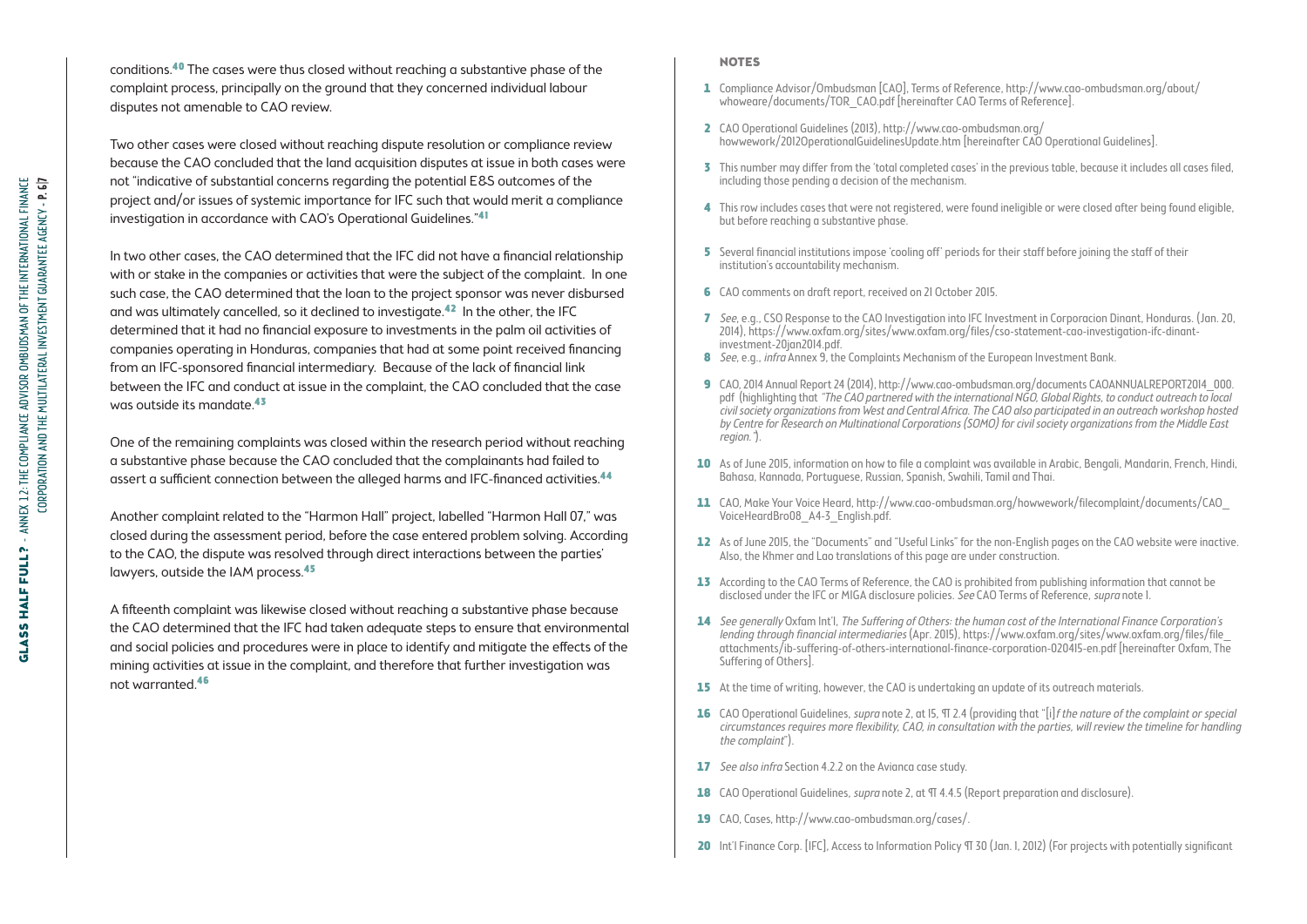conditions.40 The cases were thus closed without reaching a substantive phase of the complaint process, principally on the ground that they concerned individual labour disputes not amenable to CAO review.

Two other cases were closed without reaching dispute resolution or compliance review because the CAO concluded that the land acquisition disputes at issue in both cases were not "indicative of substantial concerns regarding the potential E&S outcomes of the project and/or issues of systemic importance for IFC such that would merit a compliance investigation in accordance with CAO's Operational Guidelines."41

In two other cases, the CAO determined that the IFC did not have a financial relationship with or stake in the companies or activities that were the subject of the complaint. In one such case, the CAO determined that the loan to the project sponsor was never disbursed and was ultimately cancelled, so it declined to investigate.42 In the other, the IFC determined that it had no financial exposure to investments in the palm oil activities of companies operating in Honduras, companies that had at some point received financing from an IFC-sponsored financial intermediary. Because of the lack of financial link between the IFC and conduct at issue in the complaint, the CAO concluded that the case was outside its mandate.43

One of the remaining complaints was closed within the research period without reaching a substantive phase because the CAO concluded that the complainants had failed to assert a sufficient connection between the alleged harms and IFC-financed activities.44

Another complaint related to the "Harmon Hall" project, labelled "Harmon Hall 07," was closed during the assessment period, before the case entered problem solving. According to the CAO, the dispute was resolved through direct interactions between the parties' lawyers, outside the IAM process.45

A fifteenth complaint was likewise closed without reaching a substantive phase because the CAO determined that the IFC had taken adequate steps to ensure that environmental and social policies and procedures were in place to identify and mitigate the effects of the mining activities at issue in the complaint, and therefore that further investigation was not warranted.46

#### **NOTES**

- 1 Compliance Advisor/Ombudsman [CAO], Terms of Reference, [http://www.cao-ombudsman.org/about/](http://www.cao-ombudsman.org/about/whoweare/documents/TOR_CAO.pdf) [whoweare/documents/TOR\\_CAO.pdf](http://www.cao-ombudsman.org/about/whoweare/documents/TOR_CAO.pdf) [hereinafter CAO Terms of Reference].
- 2 CAO Operational Guidelines (2013), [http://www.cao-ombudsman.org/](http://www.cao-ombudsman.org/howwework/2012OperationalGuidelinesUpdate.htm) [howwework/2012OperationalGuidelinesUpdate.htm](http://www.cao-ombudsman.org/howwework/2012OperationalGuidelinesUpdate.htm) [hereinafter CAO Operational Guidelines].
- 3 This number may differ from the 'total completed cases' in the previous table, because it includes all cases filed, including those pending a decision of the mechanism.
- 4 This row includes cases that were not registered, were found ineligible or were closed after being found eligible, but before reaching a substantive phase.
- 5 Several financial institutions impose 'cooling off' periods for their staff before joining the staff of their institution's accountability mechanism.
- 6 CAO comments on draft report, received on 21 October 2015.
- 7 See, e.g., CSO Response to the CAO Investigation into IFC Investment in Corporacion Dinant, Honduras. (Jan. 20, 2014), [https://www.oxfam.org/sites/www.oxfam.org/files/cso-statement-cao-investigation-ifc-dinant](https://www.oxfam.org/sites/www.oxfam.org/files/cso-statement-cao-investigation-ifc-dinant-investment-20jan2014.pdf)[investment-20jan2014.pdf](https://www.oxfam.org/sites/www.oxfam.org/files/cso-statement-cao-investigation-ifc-dinant-investment-20jan2014.pdf).
- 8 *See, e.g., infra Annex 9*, the Complaints Mechanism of the European Investment Bank.
- 9 CAO, 2014 Annual Report 24 (2014), [http://www.cao-ombudsman.org/documents CAOANNUALREPORT2014\\_000.](http://www.cao-ombudsman.org/documents/CAOANNUALREPORT2014_000.pdf) [pdf](http://www.cao-ombudsman.org/documents/CAOANNUALREPORT2014_000.pdf) (highlighting that "The CAO partnered with the international NGO, Global Rights, to conduct outreach to local civil society organizations from West and Central Africa. The CAO also participated in an outreach workshop hosted by Centre for Research on Multinational Corporations (SOMO) for civil society organizations from the Middle East region.").
- 10 As of June 2015, information on how to file a complaint was available in Arabic, Bengali, Mandarin, French, Hindi, Bahasa, Kannada, Portuguese, Russian, Spanish, Swahili, Tamil and Thai.
- 11 CAO, Make Your Voice Heard, http://www.cao-ombudsman.org/howwework/filecomplaint/documents/CAO [VoiceHeardBro08\\_A4-3\\_English.pdf.](http://www.cao-ombudsman.org/howwework/filecomplaint/documents/CAO_VoiceHeardBro08_A4-3_English.pdf)
- 12 As of June 2015, the "Documents" and "Useful Links" for the non-English pages on the CAO website were inactive. Also, the Khmer and Lao translations of this page are under construction.
- 13 According to the CAO Terms of Reference, the CAO is prohibited from publishing information that cannot be disclosed under the IFC or MIGA disclosure policies. *See* CAO Terms of Reference, *supra* note 1.
- 14 See generally Oxfam Int'l, The Suffering of Others: the human cost of the International Finance Corporation's lending through financial intermediaries (Apr. 2015), [https://www.oxfam.org/sites/www.oxfam.org/files/file\\_](https://www.oxfam.org/sites/www.oxfam.org/files/file_attachments/ib-suffering-of-others-international-finance-corporation-020415-en.pdf) [attachments/ib-suffering-of-others-international-finance-corporation-020415-en.pdf](https://www.oxfam.org/sites/www.oxfam.org/files/file_attachments/ib-suffering-of-others-international-finance-corporation-020415-en.pdf) [hereinafter Oxfam, The Suffering of Others].
- 15 At the time of writing, however, the CAO is undertaking an update of its outreach materials.
- 16 CAO Operational Guidelines, *supra* note 2, at 15,  $\Pi$  2.4 (providing that "[i] f the nature of the complaint or special circumstances requires more flexibility, CAO, in consultation with the parties, will review the timeline for handling the complaint").
- 17 See also infra Section 4.2.2 on the Avianca case study.
- 18 CAO Operational Guidelines, *supra* note 2, at TT 4.4.5 (Report preparation and disclosure).
- 19 CAO, Cases, <http://www.cao-ombudsman.org/cases/>.
- 20 Int'l Finance Corp. [IFC], Access to Information Policy ¶ 30 (Jan. 1, 2012) (For projects with potentially significant